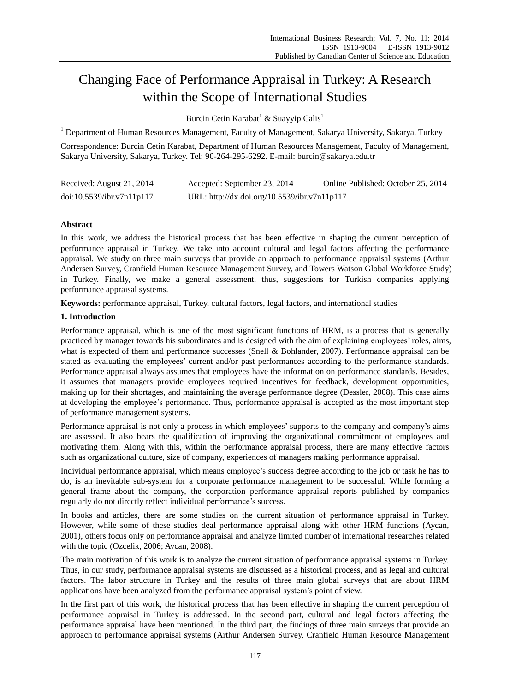# Changing Face of Performance Appraisal in Turkey: A Research within the Scope of International Studies

Burcin Cetin Karabat<sup>1</sup> & Suayyip Calis<sup>1</sup>

<sup>1</sup> Department of Human Resources Management, Faculty of Management, Sakarya University, Sakarya, Turkey

Correspondence: Burcin Cetin Karabat, Department of Human Resources Management, Faculty of Management, Sakarya University, Sakarya, Turkey. Tel: 90-264-295-6292. E-mail: burcin@sakarya.edu.tr

| Received: August 21, 2014 | Accepted: September 23, 2014                 | Online Published: October 25, 2014 |
|---------------------------|----------------------------------------------|------------------------------------|
| doi:10.5539/ibr.v7n11p117 | URL: http://dx.doi.org/10.5539/ibr.v7n11p117 |                                    |

## **Abstract**

In this work, we address the historical process that has been effective in shaping the current perception of performance appraisal in Turkey. We take into account cultural and legal factors affecting the performance appraisal. We study on three main surveys that provide an approach to performance appraisal systems (Arthur Andersen Survey, Cranfield Human Resource Management Survey, and Towers Watson Global Workforce Study) in Turkey. Finally, we make a general assessment, thus, suggestions for Turkish companies applying performance appraisal systems.

**Keywords:** performance appraisal, Turkey, cultural factors, legal factors, and international studies

## **1. Introduction**

Performance appraisal, which is one of the most significant functions of HRM, is a process that is generally practiced by manager towards his subordinates and is designed with the aim of explaining employees" roles, aims, what is expected of them and performance successes (Snell & Bohlander, 2007). Performance appraisal can be stated as evaluating the employees' current and/or past performances according to the performance standards. Performance appraisal always assumes that employees have the information on performance standards. Besides, it assumes that managers provide employees required incentives for feedback, development opportunities, making up for their shortages, and maintaining the average performance degree (Dessler, 2008). This case aims at developing the employee"s performance. Thus, performance appraisal is accepted as the most important step of performance management systems.

Performance appraisal is not only a process in which employees' supports to the company and company's aims are assessed. It also bears the qualification of improving the organizational commitment of employees and motivating them. Along with this, within the performance appraisal process, there are many effective factors such as organizational culture, size of company, experiences of managers making performance appraisal.

Individual performance appraisal, which means employee's success degree according to the job or task he has to do, is an inevitable sub-system for a corporate performance management to be successful. While forming a general frame about the company, the corporation performance appraisal reports published by companies regularly do not directly reflect individual performance's success.

In books and articles, there are some studies on the current situation of performance appraisal in Turkey. However, while some of these studies deal performance appraisal along with other HRM functions (Aycan, 2001), others focus only on performance appraisal and analyze limited number of international researches related with the topic (Ozcelik, 2006; Aycan, 2008).

The main motivation of this work is to analyze the current situation of performance appraisal systems in Turkey. Thus, in our study, performance appraisal systems are discussed as a historical process, and as legal and cultural factors. The labor structure in Turkey and the results of three main global surveys that are about HRM applications have been analyzed from the performance appraisal system"s point of view.

In the first part of this work, the historical process that has been effective in shaping the current perception of performance appraisal in Turkey is addressed. In the second part, cultural and legal factors affecting the performance appraisal have been mentioned. In the third part, the findings of three main surveys that provide an approach to performance appraisal systems (Arthur Andersen Survey, Cranfield Human Resource Management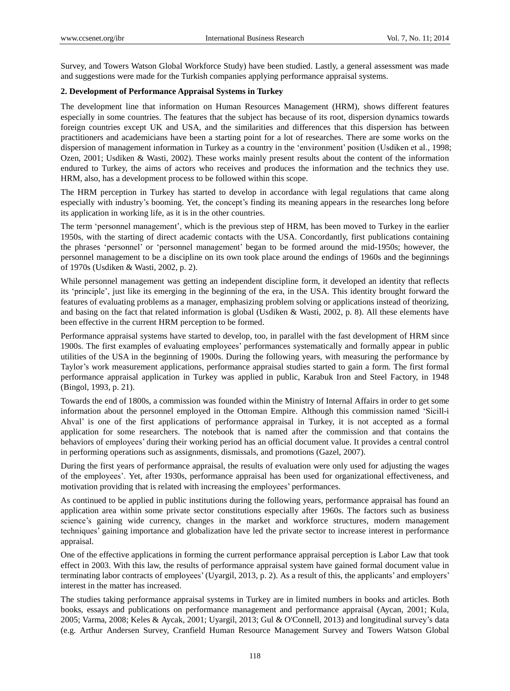Survey, and Towers Watson Global Workforce Study) have been studied. Lastly, a general assessment was made and suggestions were made for the Turkish companies applying performance appraisal systems.

# **2. Development of Performance Appraisal Systems in Turkey**

The development line that information on Human Resources Management (HRM), shows different features especially in some countries. The features that the subject has because of its root, dispersion dynamics towards foreign countries except UK and USA, and the similarities and differences that this dispersion has between practitioners and academicians have been a starting point for a lot of researches. There are some works on the dispersion of management information in Turkey as a country in the 'environment' position (Usdiken et al., 1998; Ozen, 2001; Usdiken & Wasti, 2002). These works mainly present results about the content of the information endured to Turkey, the aims of actors who receives and produces the information and the technics they use. HRM, also, has a development process to be followed within this scope.

The HRM perception in Turkey has started to develop in accordance with legal regulations that came along especially with industry's booming. Yet, the concept's finding its meaning appears in the researches long before its application in working life, as it is in the other countries.

The term 'personnel management', which is the previous step of HRM, has been moved to Turkey in the earlier 1950s, with the starting of direct academic contacts with the USA. Concordantly, first publications containing the phrases "personnel" or "personnel management" began to be formed around the mid-1950s; however, the personnel management to be a discipline on its own took place around the endings of 1960s and the beginnings of 1970s (Usdiken & Wasti, 2002, p. 2).

While personnel management was getting an independent discipline form, it developed an identity that reflects its "principle", just like its emerging in the beginning of the era, in the USA. This identity brought forward the features of evaluating problems as a manager, emphasizing problem solving or applications instead of theorizing, and basing on the fact that related information is global (Usdiken & Wasti, 2002, p. 8). All these elements have been effective in the current HRM perception to be formed.

Performance appraisal systems have started to develop, too, in parallel with the fast development of HRM since 1900s. The first examples of evaluating employees" performances systematically and formally appear in public utilities of the USA in the beginning of 1900s. During the following years, with measuring the performance by Taylor"s work measurement applications, performance appraisal studies started to gain a form. The first formal performance appraisal application in Turkey was applied in public, Karabuk Iron and Steel Factory, in 1948 (Bingol, 1993, p. 21).

Towards the end of 1800s, a commission was founded within the Ministry of Internal Affairs in order to get some information about the personnel employed in the Ottoman Empire. Although this commission named "Sicill-i Ahval" is one of the first applications of performance appraisal in Turkey, it is not accepted as a formal application for some researchers. The notebook that is named after the commission and that contains the behaviors of employees" during their working period has an official document value. It provides a central control in performing operations such as assignments, dismissals, and promotions (Gazel, 2007).

During the first years of performance appraisal, the results of evaluation were only used for adjusting the wages of the employees". Yet, after 1930s, performance appraisal has been used for organizational effectiveness, and motivation providing that is related with increasing the employees" performances.

As continued to be applied in public institutions during the following years, performance appraisal has found an application area within some private sector constitutions especially after 1960s. The factors such as business science's gaining wide currency, changes in the market and workforce structures, modern management techniques" gaining importance and globalization have led the private sector to increase interest in performance appraisal.

One of the effective applications in forming the current performance appraisal perception is Labor Law that took effect in 2003. With this law, the results of performance appraisal system have gained formal document value in terminating labor contracts of employees" (Uyargil, 2013, p. 2). As a result of this, the applicants" and employers" interest in the matter has increased.

The studies taking performance appraisal systems in Turkey are in limited numbers in books and articles. Both books, essays and publications on performance management and performance appraisal (Aycan, 2001; Kula, 2005; Varma, 2008; Keles & Aycak, 2001; Uyargil, 2013; Gul & O'Connell, 2013) and longitudinal survey"s data (e.g. Arthur Andersen Survey, Cranfield Human Resource Management Survey and Towers Watson Global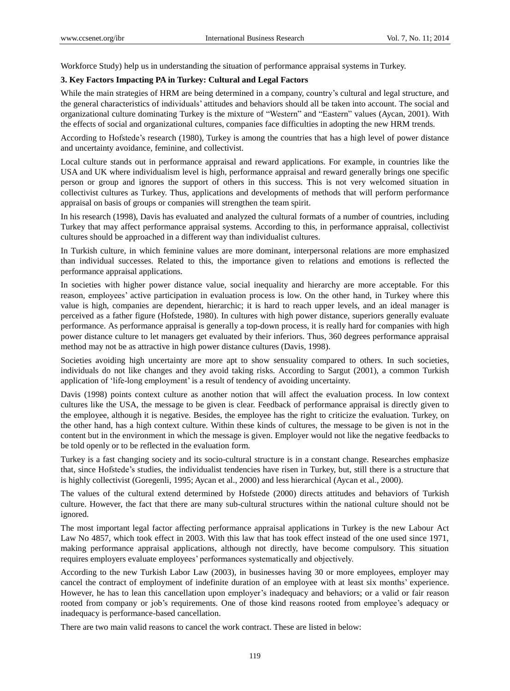Workforce Study) help us in understanding the situation of performance appraisal systems in Turkey.

## **3. Key Factors Impacting PA in Turkey: Cultural and Legal Factors**

While the main strategies of HRM are being determined in a company, country's cultural and legal structure, and the general characteristics of individuals" attitudes and behaviors should all be taken into account. The social and organizational culture dominating Turkey is the mixture of "Western" and "Eastern" values (Aycan, 2001). With the effects of social and organizational cultures, companies face difficulties in adopting the new HRM trends.

According to Hofstede"s research (1980), Turkey is among the countries that has a high level of power distance and uncertainty avoidance, feminine, and collectivist.

Local culture stands out in performance appraisal and reward applications. For example, in countries like the USA and UK where individualism level is high, performance appraisal and reward generally brings one specific person or group and ignores the support of others in this success. This is not very welcomed situation in collectivist cultures as Turkey. Thus, applications and developments of methods that will perform performance appraisal on basis of groups or companies will strengthen the team spirit.

In his research (1998), Davis has evaluated and analyzed the cultural formats of a number of countries, including Turkey that may affect performance appraisal systems. According to this, in performance appraisal, collectivist cultures should be approached in a different way than individualist cultures.

In Turkish culture, in which feminine values are more dominant, interpersonal relations are more emphasized than individual successes. Related to this, the importance given to relations and emotions is reflected the performance appraisal applications.

In societies with higher power distance value, social inequality and hierarchy are more acceptable. For this reason, employees" active participation in evaluation process is low. On the other hand, in Turkey where this value is high, companies are dependent, hierarchic; it is hard to reach upper levels, and an ideal manager is perceived as a father figure (Hofstede, 1980). In cultures with high power distance, superiors generally evaluate performance. As performance appraisal is generally a top-down process, it is really hard for companies with high power distance culture to let managers get evaluated by their inferiors. Thus, 360 degrees performance appraisal method may not be as attractive in high power distance cultures (Davis, 1998).

Societies avoiding high uncertainty are more apt to show sensuality compared to others. In such societies, individuals do not like changes and they avoid taking risks. According to Sargut (2001), a common Turkish application of 'life-long employment' is a result of tendency of avoiding uncertainty.

Davis (1998) points context culture as another notion that will affect the evaluation process. In low context cultures like the USA, the message to be given is clear. Feedback of performance appraisal is directly given to the employee, although it is negative. Besides, the employee has the right to criticize the evaluation. Turkey, on the other hand, has a high context culture. Within these kinds of cultures, the message to be given is not in the content but in the environment in which the message is given. Employer would not like the negative feedbacks to be told openly or to be reflected in the evaluation form.

Turkey is a fast changing society and its socio-cultural structure is in a constant change. Researches emphasize that, since Hofstede"s studies, the individualist tendencies have risen in Turkey, but, still there is a structure that is highly collectivist (Goregenli, 1995; Aycan et al., 2000) and less hierarchical (Aycan et al., 2000).

The values of the cultural extend determined by Hofstede (2000) directs attitudes and behaviors of Turkish culture. However, the fact that there are many sub-cultural structures within the national culture should not be ignored.

The most important legal factor affecting performance appraisal applications in Turkey is the new Labour Act Law No 4857, which took effect in 2003. With this law that has took effect instead of the one used since 1971, making performance appraisal applications, although not directly, have become compulsory. This situation requires employers evaluate employees" performances systematically and objectively.

According to the new Turkish Labor Law (2003), in businesses having 30 or more employees, employer may cancel the contract of employment of indefinite duration of an employee with at least six months" experience. However, he has to lean this cancellation upon employer"s inadequacy and behaviors; or a valid or fair reason rooted from company or job"s requirements. One of those kind reasons rooted from employee"s adequacy or inadequacy is performance-based cancellation.

There are two main valid reasons to cancel the work contract. These are listed in below: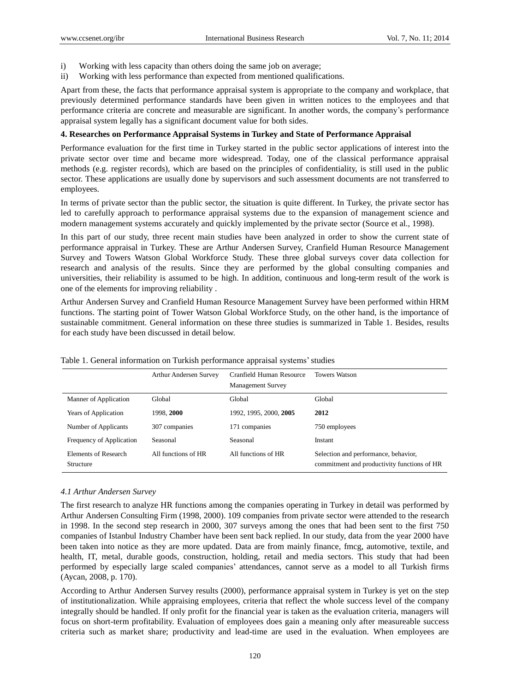- i) Working with less capacity than others doing the same job on average;
- ii) Working with less performance than expected from mentioned qualifications.

Apart from these, the facts that performance appraisal system is appropriate to the company and workplace, that previously determined performance standards have been given in written notices to the employees and that performance criteria are concrete and measurable are significant. In another words, the company"s performance appraisal system legally has a significant document value for both sides.

## **4. Researches on Performance Appraisal Systems in Turkey and State of Performance Appraisal**

Performance evaluation for the first time in Turkey started in the public sector applications of interest into the private sector over time and became more widespread. Today, one of the classical performance appraisal methods (e.g. register records), which are based on the principles of confidentiality, is still used in the public sector. These applications are usually done by supervisors and such assessment documents are not transferred to employees.

In terms of private sector than the public sector, the situation is quite different. In Turkey, the private sector has led to carefully approach to performance appraisal systems due to the expansion of management science and modern management systems accurately and quickly implemented by the private sector (Source et al., 1998).

In this part of our study, three recent main studies have been analyzed in order to show the current state of performance appraisal in Turkey. These are Arthur Andersen Survey, Cranfield Human Resource Management Survey and Towers Watson Global Workforce Study. These three global surveys cover data collection for research and analysis of the results. Since they are performed by the global consulting companies and universities, their reliability is assumed to be high. In addition, continuous and long-term result of the work is one of the elements for improving reliability .

Arthur Andersen Survey and Cranfield Human Resource Management Survey have been performed within HRM functions. The starting point of Tower Watson Global Workforce Study, on the other hand, is the importance of sustainable commitment. General information on these three studies is summarized in Table 1. Besides, results for each study have been discussed in detail below.

|                             |                               | . .                      |                                             |
|-----------------------------|-------------------------------|--------------------------|---------------------------------------------|
|                             | <b>Arthur Andersen Survey</b> | Cranfield Human Resource | <b>Towers Watson</b>                        |
|                             |                               | <b>Management Survey</b> |                                             |
| Manner of Application       | Global                        | Global                   | Global                                      |
| <b>Years of Application</b> | 1998.2000                     | 1992, 1995, 2000, 2005   | 2012                                        |
| Number of Applicants        | 307 companies                 | 171 companies            | 750 employees                               |
| Frequency of Application    | Seasonal                      | Seasonal                 | Instant                                     |
| Elements of Research        | All functions of HR           | All functions of HR      | Selection and performance, behavior,        |
| Structure                   |                               |                          | commitment and productivity functions of HR |

Table 1. General information on Turkish performance appraisal systems"studies

## *4.1 Arthur Andersen Survey*

The first research to analyze HR functions among the companies operating in Turkey in detail was performed by Arthur Andersen Consulting Firm (1998, 2000). 109 companies from private sector were attended to the research in 1998. In the second step research in 2000, 307 surveys among the ones that had been sent to the first 750 companies of Istanbul Industry Chamber have been sent back replied. In our study, data from the year 2000 have been taken into notice as they are more updated. Data are from mainly finance, fmcg, automotive, textile, and health, IT, metal, durable goods, construction, holding, retail and media sectors. This study that had been performed by especially large scaled companies" attendances, cannot serve as a model to all Turkish firms (Aycan, 2008, p. 170).

According to Arthur Andersen Survey results (2000), performance appraisal system in Turkey is yet on the step of institutionalization. While appraising employees, criteria that reflect the whole success level of the company integrally should be handled. If only profit for the financial year is taken as the evaluation criteria, managers will focus on short-term profitability. Evaluation of employees does gain a meaning only after measureable success criteria such as market share; productivity and lead-time are used in the evaluation. When employees are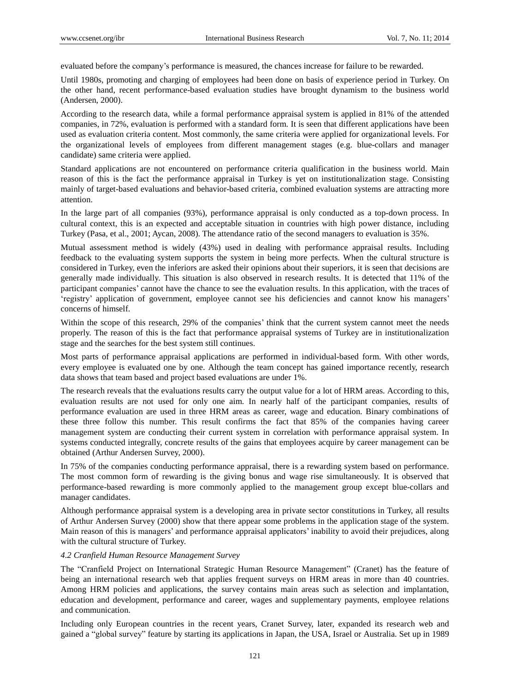evaluated before the company"s performance is measured, the chances increase for failure to be rewarded.

Until 1980s, promoting and charging of employees had been done on basis of experience period in Turkey. On the other hand, recent performance-based evaluation studies have brought dynamism to the business world (Andersen, 2000).

According to the research data, while a formal performance appraisal system is applied in 81% of the attended companies, in 72%, evaluation is performed with a standard form. It is seen that different applications have been used as evaluation criteria content. Most commonly, the same criteria were applied for organizational levels. For the organizational levels of employees from different management stages (e.g. blue-collars and manager candidate) same criteria were applied.

Standard applications are not encountered on performance criteria qualification in the business world. Main reason of this is the fact the performance appraisal in Turkey is yet on institutionalization stage. Consisting mainly of target-based evaluations and behavior-based criteria, combined evaluation systems are attracting more attention.

In the large part of all companies (93%), performance appraisal is only conducted as a top-down process. In cultural context, this is an expected and acceptable situation in countries with high power distance, including Turkey (Pasa, et al., 2001; Aycan, 2008). The attendance ratio of the second managers to evaluation is 35%.

Mutual assessment method is widely (43%) used in dealing with performance appraisal results. Including feedback to the evaluating system supports the system in being more perfects. When the cultural structure is considered in Turkey, even the inferiors are asked their opinions about their superiors, it is seen that decisions are generally made individually. This situation is also observed in research results. It is detected that 11% of the participant companies" cannot have the chance to see the evaluation results. In this application, with the traces of "registry" application of government, employee cannot see his deficiencies and cannot know his managers" concerns of himself.

Within the scope of this research, 29% of the companies' think that the current system cannot meet the needs properly. The reason of this is the fact that performance appraisal systems of Turkey are in institutionalization stage and the searches for the best system still continues.

Most parts of performance appraisal applications are performed in individual-based form. With other words, every employee is evaluated one by one. Although the team concept has gained importance recently, research data shows that team based and project based evaluations are under 1%.

The research reveals that the evaluations results carry the output value for a lot of HRM areas. According to this, evaluation results are not used for only one aim. In nearly half of the participant companies, results of performance evaluation are used in three HRM areas as career, wage and education. Binary combinations of these three follow this number. This result confirms the fact that 85% of the companies having career management system are conducting their current system in correlation with performance appraisal system. In systems conducted integrally, concrete results of the gains that employees acquire by career management can be obtained (Arthur Andersen Survey, 2000).

In 75% of the companies conducting performance appraisal, there is a rewarding system based on performance. The most common form of rewarding is the giving bonus and wage rise simultaneously. It is observed that performance-based rewarding is more commonly applied to the management group except blue-collars and manager candidates.

Although performance appraisal system is a developing area in private sector constitutions in Turkey, all results of Arthur Andersen Survey (2000) show that there appear some problems in the application stage of the system. Main reason of this is managers" and performance appraisal applicators" inability to avoid their prejudices, along with the cultural structure of Turkey.

#### *4.2 Cranfield Human Resource Management Survey*

The "Cranfield Project on International Strategic Human Resource Management" (Cranet) has the feature of being an international research web that applies frequent surveys on HRM areas in more than 40 countries. Among HRM policies and applications, the survey contains main areas such as selection and implantation, education and development, performance and career, wages and supplementary payments, employee relations and communication.

Including only European countries in the recent years, Cranet Survey, later, expanded its research web and gained a "global survey" feature by starting its applications in Japan, the USA, Israel or Australia. Set up in 1989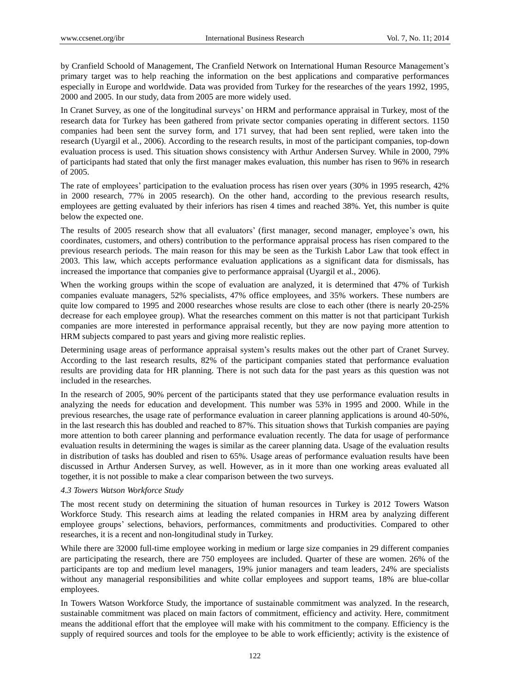by Cranfield Schoold of Management, The Cranfield Network on International Human Resource Management"s primary target was to help reaching the information on the best applications and comparative performances especially in Europe and worldwide. Data was provided from Turkey for the researches of the years 1992, 1995, 2000 and 2005. In our study, data from 2005 are more widely used.

In Cranet Survey, as one of the longitudinal surveys" on HRM and performance appraisal in Turkey, most of the research data for Turkey has been gathered from private sector companies operating in different sectors. 1150 companies had been sent the survey form, and 171 survey, that had been sent replied, were taken into the research (Uyargil et al., 2006). According to the research results, in most of the participant companies, top-down evaluation process is used. This situation shows consistency with Arthur Andersen Survey. While in 2000, 79% of participants had stated that only the first manager makes evaluation, this number has risen to 96% in research of 2005.

The rate of employees" participation to the evaluation process has risen over years (30% in 1995 research, 42% in 2000 research, 77% in 2005 research). On the other hand, according to the previous research results, employees are getting evaluated by their inferiors has risen 4 times and reached 38%. Yet, this number is quite below the expected one.

The results of 2005 research show that all evaluators' (first manager, second manager, employee's own, his coordinates, customers, and others) contribution to the performance appraisal process has risen compared to the previous research periods. The main reason for this may be seen as the Turkish Labor Law that took effect in 2003. This law, which accepts performance evaluation applications as a significant data for dismissals, has increased the importance that companies give to performance appraisal (Uyargil et al., 2006).

When the working groups within the scope of evaluation are analyzed, it is determined that 47% of Turkish companies evaluate managers, 52% specialists, 47% office employees, and 35% workers. These numbers are quite low compared to 1995 and 2000 researches whose results are close to each other (there is nearly 20-25% decrease for each employee group). What the researches comment on this matter is not that participant Turkish companies are more interested in performance appraisal recently, but they are now paying more attention to HRM subjects compared to past years and giving more realistic replies.

Determining usage areas of performance appraisal system"s results makes out the other part of Cranet Survey. According to the last research results, 82% of the participant companies stated that performance evaluation results are providing data for HR planning. There is not such data for the past years as this question was not included in the researches.

In the research of 2005, 90% percent of the participants stated that they use performance evaluation results in analyzing the needs for education and development. This number was 53% in 1995 and 2000. While in the previous researches, the usage rate of performance evaluation in career planning applications is around 40-50%, in the last research this has doubled and reached to 87%. This situation shows that Turkish companies are paying more attention to both career planning and performance evaluation recently. The data for usage of performance evaluation results in determining the wages is similar as the career planning data. Usage of the evaluation results in distribution of tasks has doubled and risen to 65%. Usage areas of performance evaluation results have been discussed in Arthur Andersen Survey, as well. However, as in it more than one working areas evaluated all together, it is not possible to make a clear comparison between the two surveys.

#### *4.3 Towers Watson Workforce Study*

The most recent study on determining the situation of human resources in Turkey is 2012 Towers Watson Workforce Study. This research aims at leading the related companies in HRM area by analyzing different employee groups" selections, behaviors, performances, commitments and productivities. Compared to other researches, it is a recent and non-longitudinal study in Turkey.

While there are 32000 full-time employee working in medium or large size companies in 29 different companies are participating the research, there are 750 employees are included. Quarter of these are women. 26% of the participants are top and medium level managers, 19% junior managers and team leaders, 24% are specialists without any managerial responsibilities and white collar employees and support teams, 18% are blue-collar employees.

In Towers Watson Workforce Study, the importance of sustainable commitment was analyzed. In the research, sustainable commitment was placed on main factors of commitment, efficiency and activity. Here, commitment means the additional effort that the employee will make with his commitment to the company. Efficiency is the supply of required sources and tools for the employee to be able to work efficiently; activity is the existence of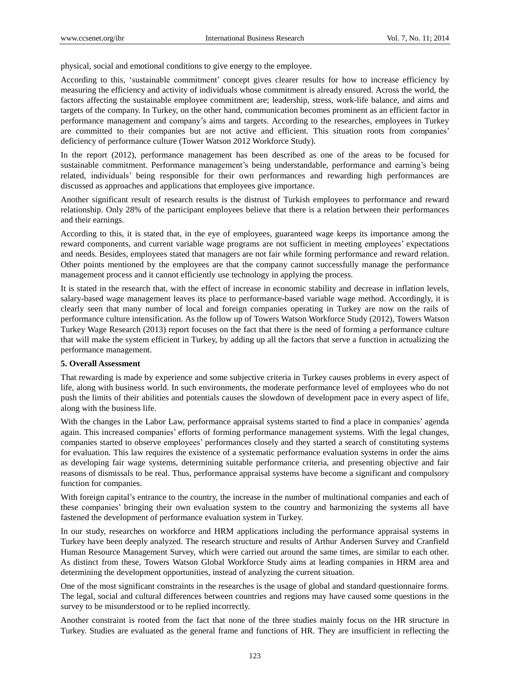physical, social and emotional conditions to give energy to the employee.

According to this, "sustainable commitment" concept gives clearer results for how to increase efficiency by measuring the efficiency and activity of individuals whose commitment is already ensured. Across the world, the factors affecting the sustainable employee commitment are; leadership, stress, work-life balance, and aims and targets of the company. In Turkey, on the other hand, communication becomes prominent as an efficient factor in performance management and company"s aims and targets. According to the researches, employees in Turkey are committed to their companies but are not active and efficient. This situation roots from companies" deficiency of performance culture (Tower Watson 2012 Workforce Study).

In the report (2012), performance management has been described as one of the areas to be focused for sustainable commitment. Performance management's being understandable, performance and earning's being related, individuals" being responsible for their own performances and rewarding high performances are discussed as approaches and applications that employees give importance.

Another significant result of research results is the distrust of Turkish employees to performance and reward relationship. Only 28% of the participant employees believe that there is a relation between their performances and their earnings.

According to this, it is stated that, in the eye of employees, guaranteed wage keeps its importance among the reward components, and current variable wage programs are not sufficient in meeting employees" expectations and needs. Besides, employees stated that managers are not fair while forming performance and reward relation. Other points mentioned by the employees are that the company cannot successfully manage the performance management process and it cannot efficiently use technology in applying the process.

It is stated in the research that, with the effect of increase in economic stability and decrease in inflation levels, salary-based wage management leaves its place to performance-based variable wage method. Accordingly, it is clearly seen that many number of local and foreign companies operating in Turkey are now on the rails of performance culture intensification. As the follow up of Towers Watson Workforce Study (2012), Towers Watson Turkey Wage Research (2013) report focuses on the fact that there is the need of forming a performance culture that will make the system efficient in Turkey, by adding up all the factors that serve a function in actualizing the performance management.

#### **5. Overall Assessment**

That rewarding is made by experience and some subjective criteria in Turkey causes problems in every aspect of life, along with business world. In such environments, the moderate performance level of employees who do not push the limits of their abilities and potentials causes the slowdown of development pace in every aspect of life, along with the business life.

With the changes in the Labor Law, performance appraisal systems started to find a place in companies" agenda again. This increased companies" efforts of forming performance management systems. With the legal changes, companies started to observe employees" performances closely and they started a search of constituting systems for evaluation. This law requires the existence of a systematic performance evaluation systems in order the aims as developing fair wage systems, determining suitable performance criteria, and presenting objective and fair reasons of dismissals to be real. Thus, performance appraisal systems have become a significant and compulsory function for companies.

With foreign capital's entrance to the country, the increase in the number of multinational companies and each of these companies" bringing their own evaluation system to the country and harmonizing the systems all have fastened the development of performance evaluation system in Turkey.

In our study, researches on workforce and HRM applications including the performance appraisal systems in Turkey have been deeply analyzed. The research structure and results of Arthur Andersen Survey and Cranfield Human Resource Management Survey, which were carried out around the same times, are similar to each other. As distinct from these, Towers Watson Global Workforce Study aims at leading companies in HRM area and determining the development opportunities, instead of analyzing the current situation.

One of the most significant constraints in the researches is the usage of global and standard questionnaire forms. The legal, social and cultural differences between countries and regions may have caused some questions in the survey to be misunderstood or to be replied incorrectly.

Another constraint is rooted from the fact that none of the three studies mainly focus on the HR structure in Turkey. Studies are evaluated as the general frame and functions of HR. They are insufficient in reflecting the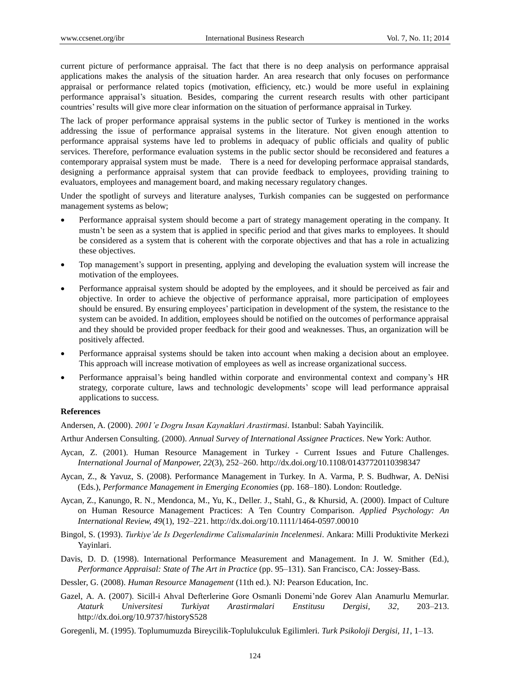current picture of performance appraisal. The fact that there is no deep analysis on performance appraisal applications makes the analysis of the situation harder. An area research that only focuses on performance appraisal or performance related topics (motivation, efficiency, etc.) would be more useful in explaining performance appraisal"s situation. Besides, comparing the current research results with other participant countries" results will give more clear information on the situation of performance appraisal in Turkey.

The lack of proper performance appraisal systems in the public sector of Turkey is mentioned in the works addressing the issue of performance appraisal systems in the literature. Not given enough attention to performance appraisal systems have led to problems in adequacy of public officials and quality of public services. Therefore, performance evaluation systems in the public sector should be reconsidered and features a contemporary appraisal system must be made. There is a need for developing performace appraisal standards, designing a performance appraisal system that can provide feedback to employees, providing training to evaluators, employees and management board, and making necessary regulatory changes.

Under the spotlight of surveys and literature analyses, Turkish companies can be suggested on performance management systems as below;

- Performance appraisal system should become a part of strategy management operating in the company. It mustn"t be seen as a system that is applied in specific period and that gives marks to employees. It should be considered as a system that is coherent with the corporate objectives and that has a role in actualizing these objectives.
- Top management's support in presenting, applying and developing the evaluation system will increase the motivation of the employees.
- Performance appraisal system should be adopted by the employees, and it should be perceived as fair and objective. In order to achieve the objective of performance appraisal, more participation of employees should be ensured. By ensuring employees" participation in development of the system, the resistance to the system can be avoided. In addition, employees should be notified on the outcomes of performance appraisal and they should be provided proper feedback for their good and weaknesses. Thus, an organization will be positively affected.
- Performance appraisal systems should be taken into account when making a decision about an employee. This approach will increase motivation of employees as well as increase organizational success.
- Performance appraisal"s being handled within corporate and environmental context and company"s HR strategy, corporate culture, laws and technologic developments" scope will lead performance appraisal applications to success.

#### **References**

Andersen, A. (2000). *2001'e Dogru Insan Kaynaklari Arastirmasi*. Istanbul: Sabah Yayincilik.

Arthur Andersen Consulting. (2000). *Annual Survey of International Assignee Practices*. New York: Author.

Aycan, Z. (2001). Human Resource Management in Turkey - Current Issues and Future Challenges. *International Journal of Manpower, 22*(3), 252–260. http://dx.doi.org/10.1108/01437720110398347

Aycan, Z., & Yavuz, S. (2008). Performance Management in Turkey. In A. Varma, P. S. Budhwar, A. DeNisi (Eds.), *Performance Management in Emerging Economies* (pp. 168–180). London: Routledge.

- Aycan, Z., Kanungo, R. N., Mendonca, M., Yu, K., Deller. J., Stahl, G., & Khursid, A. (2000). Impact of Culture on Human Resource Management Practices: A Ten Country Comparison. *Applied Psychology: An International Review, 49*(1), 192–221. http://dx.doi.org/10.1111/1464-0597.00010
- Bingol, S. (1993). *Turkiye'de Is Degerlendirme Calismalarinin Incelenmesi*. Ankara: Milli Produktivite Merkezi Yayinlari.
- Davis, D. D. (1998). International Performance Measurement and Management. In J. W. Smither (Ed.), *Performance Appraisal: State of The Art in Practice* (pp. 95–131). San Francisco, CA: Jossey-Bass.
- Dessler, G. (2008). *Human Resource Management* (11th ed.). NJ: Pearson Education, Inc.
- Gazel, A. A. (2007). Sicill-i Ahval Defterlerine Gore Osmanli Donemi"nde Gorev Alan Anamurlu Memurlar. *Ataturk Universitesi Turkiyat Arastirmalari Enstitusu Dergisi, 32*, 203–213. http://dx.doi.org/10.9737/historyS528
- Goregenli, M. (1995). Toplumumuzda Bireycilik-Toplulukculuk Egilimleri. *Turk Psikoloji Dergisi, 11*, 1–13.